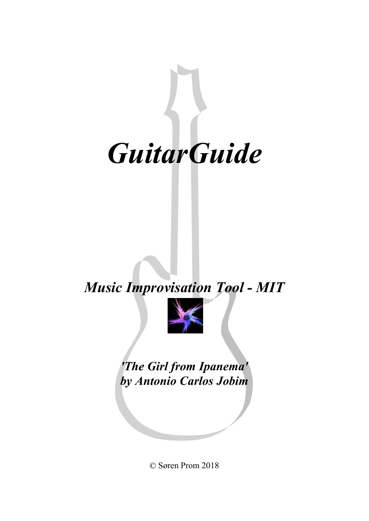

*Music Improvisation Tool - MIT*



*'The Girl from Ipanema' by Antonio Carlos Jobim*

© Søren Prom 2018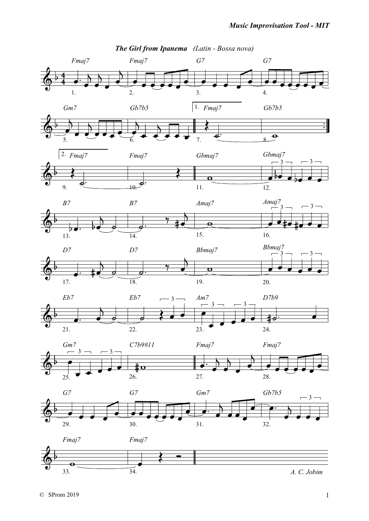

*The Girl from Ipanema (Latin - Bossa nova)*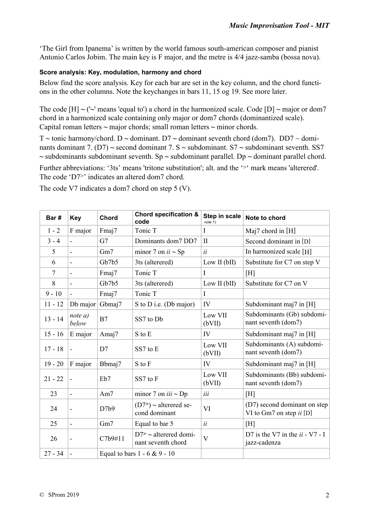'The Girl from Ipanema' is written by the world famous south-american composer and pianist Antonio Carlos Jobim. The main key is F major, and the metre is 4/4 jazz-samba (bossa nova).

## **Score analysis: Key, modulation, harmony and chord**

Below find the score analysis. Key for each bar are set in the key column, and the chord functions in the other columns. Note the keychanges in bars 11, 15 og 19. See more later.

The code  $[H] \sim$  ( $\sim$ ' means 'equal to') a chord in the harmonized scale. Code  $[D] \sim$  major or dom7 chord in a harmonized scale containing only major or dom7 chords (dominantized scale). Capital roman letters **~** major chords; small roman letters **~** minor chords.

T  $\sim$  tonic harmony/chord. D  $\sim$  dominant. D7  $\sim$  dominant seventh chord (dom7). DD7  $\sim$  dominants dominant 7. (D7) **~** second dominant 7. S **~** subdominant. S7 **~** subdominant seventh. SS7 **~** subdominants subdominant seventh. Sp **~** subdominant parallel. Dp **~** dominant parallel chord.

Further abbreviations: '3ts' means 'tritone substitution'; alt. and the '<sup>>'</sup> mark means 'alterered'. The code 'D7>' indicates an altered dom7 chord.

| Bar#      | <b>Key</b>               | <b>Chord</b> | <b>Chord specification &amp;</b><br>code     | Step in scale<br>note 1) | Note to chord                                              |  |
|-----------|--------------------------|--------------|----------------------------------------------|--------------------------|------------------------------------------------------------|--|
| $1 - 2$   | F major                  | Fmaj7        | Tonic T                                      | I                        | Maj7 chord in [H]                                          |  |
| $3 - 4$   | $\overline{a}$           | G7           | Dominants dom7 DD7                           | $\mathbf{I}$             | Second dominant in [D]                                     |  |
| 5         | $\blacksquare$           | Gm7          | minor 7 on $ii \sim Sp$                      | ii                       | In harmonized scale [H]                                    |  |
| 6         | $\blacksquare$           | Gb7b5        | 3ts (alterered)                              | Low II (bII)             | Substitute for C7 on step V                                |  |
| $\tau$    | $\blacksquare$           | Fmaj7        | Tonic T                                      | T                        | [H]                                                        |  |
| 8         | $\blacksquare$           | Gb7b5        | 3ts (alterered)                              | Low II (bII)             | Substitute for C7 on V                                     |  |
| $9 - 10$  | ÷,                       | Fmaj7        | Tonic T                                      | I                        |                                                            |  |
| $11 - 12$ | Db major                 | Gbmaj7       | S to D i.e. (Db major)                       | IV                       | Subdominant maj7 in [H]                                    |  |
| $13 - 14$ | note $a)$<br>below       | B7           | SS7 to Db                                    | Low VII<br>(bVII)        | Subdominants (Gb) subdomi-<br>nant seventh (dom7)          |  |
| $15 - 16$ | E major                  | Amaj7        | S to E                                       | IV                       | Subdominant maj7 in [H]                                    |  |
| $17 - 18$ | $\frac{1}{2}$            | D7           | SS7 to E                                     | Low VII<br>(bVII)        | Subdominants (A) subdomi-<br>nant seventh (dom7)           |  |
| $19 - 20$ | F major                  | Bbmaj7       | S to F                                       | IV                       | Subdominant maj7 in [H]                                    |  |
| $21 - 22$ | $\overline{\phantom{a}}$ | Eb7          | SS7 to F                                     | Low VII<br>(bVII)        | Subdominants (Bb) subdomi-<br>nant seventh (dom7)          |  |
| 23        | $\frac{1}{2}$            | Am7          | minor 7 on $iii \sim Dp$                     | iii                      | $[H]$                                                      |  |
| 24        | $\overline{a}$           | D7b9         | $(D7)$ ~ alterered se-<br>cond dominant      | VI                       | (D7) second dominant on step<br>VI to Gm7 on step $ii$ [D] |  |
| 25        | $\frac{1}{2}$            | Gm7          | Equal to bar 5                               | ii                       | [H]                                                        |  |
| 26        | $\overline{a}$           | C7b9#11      | $D7$ ~ alterered domi-<br>nant seventh chord | $\overline{\mathbf{V}}$  | D7 is the V7 in the $ii - V7 - I$<br>jazz-cadenza          |  |
| $27 - 34$ | $\overline{a}$           |              | Equal to bars $1 - 6 & 9 - 10$               |                          |                                                            |  |

The code V7 indicates a dom7 chord on step 5 (V).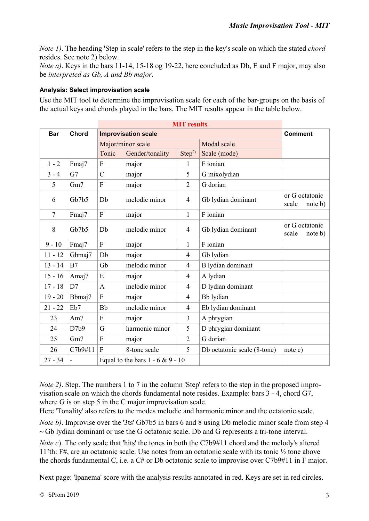*Note 1)*. The heading 'Step in scale' refers to the step in the key's scale on which the stated *chord* resides. See note 2) below.

*Note a)*. Keys in the bars 11-14, 15-18 og 19-22, here concluded as Db, E and F major, may also be *interpreted as Gb, A and Bb major.*

## **Analysis: Select improvisation scale**

Use the MIT tool to determine the improvisation scale for each of the bar-groups on the basis of the actual keys and chords played in the bars. The MIT results appear in the table below.

| <b>Bar</b>     | <b>Chord</b>   | <b>Improvisation scale</b>         | <b>Comment</b>  |                   |                             |                                    |
|----------------|----------------|------------------------------------|-----------------|-------------------|-----------------------------|------------------------------------|
|                |                | Major/minor scale                  |                 |                   | Modal scale                 |                                    |
|                |                | Tonic                              | Gender/tonality | Step <sup>2</sup> | Scale (mode)                |                                    |
| $1 - 2$        | Fmaj7          | $\boldsymbol{F}$                   | major           | 1                 | F ionian                    |                                    |
| $3 - 4$        | G7             | $\mathcal{C}$                      | major           | 5                 | G mixolydian                |                                    |
| 5              | Gm7            | $\boldsymbol{F}$                   | major           | $\overline{2}$    | G dorian                    |                                    |
| 6              | Gb7b5          | Db                                 | melodic minor   | 4                 | Gb lydian dominant          | or G octatonic<br>scale<br>note b) |
| $\overline{7}$ | Fmaj7          | $\mathbf F$                        | major           | $\mathbf{1}$      | F ionian                    |                                    |
| 8              | Gb7b5          | Db                                 | melodic minor   | 4                 | Gb lydian dominant          | or G octatonic<br>scale<br>note b) |
| $9 - 10$       | Fmaj7          | ${\bf F}$                          | major           | $\mathbf{1}$      | F ionian                    |                                    |
| $11 - 12$      | Gbmaj7         | Db                                 | major           | 4                 | Gb lydian                   |                                    |
| $13 - 14$      | B7             | Gb                                 | melodic minor   | $\overline{4}$    | B lydian dominant           |                                    |
| $15 - 16$      | Amaj7          | E                                  | major           | 4                 | A lydian                    |                                    |
| $17 - 18$      | D7             | $\mathbf{A}$                       | melodic minor   | 4                 | D lydian dominant           |                                    |
| $19 - 20$      | Bbmaj7         | F                                  | major           | 4                 | Bb lydian                   |                                    |
| $21 - 22$      | Eb7            | Bb                                 | melodic minor   | 4                 | Eb lydian dominant          |                                    |
| 23             | Am7            | F                                  | major           | 3                 | A phrygian                  |                                    |
| 24             | D7b9           | G                                  | harmonic minor  | 5                 | D phrygian dominant         |                                    |
| 25             | Gm7            | F                                  | major           | $\overline{2}$    | G dorian                    |                                    |
| 26             | C7b9#11        | ${\bf F}$                          | 8-tone scale    | 5                 | Db octatonic scale (8-tone) | note c)                            |
| $27 - 34$      | $\blacksquare$ | Equal to the bars $1 - 6 & 9 - 10$ |                 |                   |                             |                                    |

*Note 2)*. Step. The numbers 1 to 7 in the column 'Step' refers to the step in the proposed improvisation scale on which the chords fundamental note resides. Example: bars 3 - 4, chord G7, where G is on step 5 in the C major improvisation scale.

Here 'Tonality' also refers to the modes melodic and harmonic minor and the octatonic scale.

*Note b)*. Improvise over the '3ts' Gb7b5 in bars 6 and 8 using Db melodic minor scale from step 4 **~** Gb lydian dominant or use the G octatonic scale. Db and G represents a tri-tone interval.

*Note c*). The only scale that 'hits' the tones in both the C7b9#11 chord and the melody's altered 11'th: F#, are an octatonic scale. Use notes from an octatonic scale with its tonic ½ tone above the chords fundamental C, i.e. a C# or Db octatonic scale to improvise over C7b9#11 in F major.

Next page: 'Ipanema' score with the analysis results annotated in red. Keys are set in red circles.